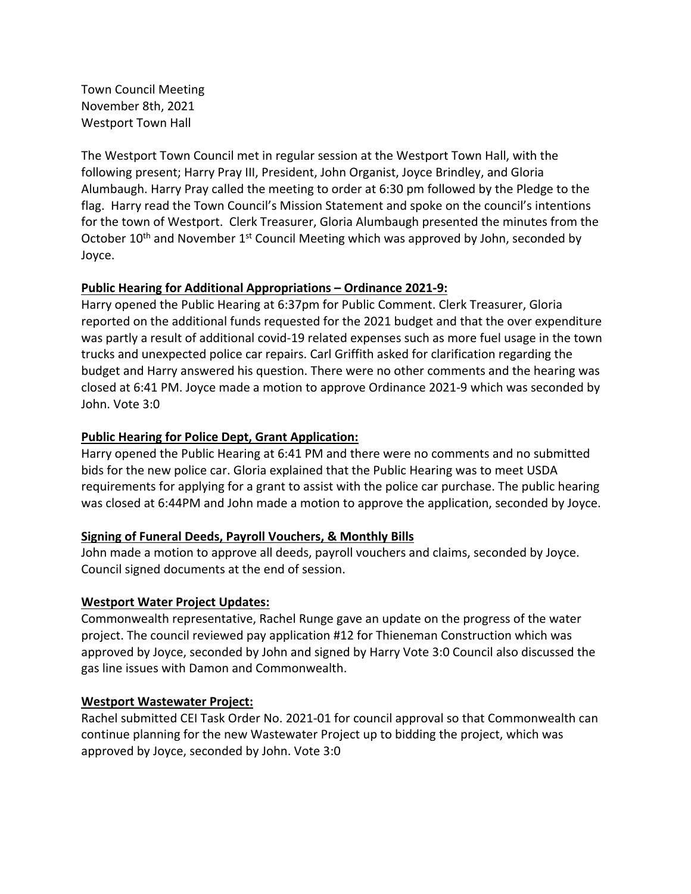Town Council Meeting November 8th, 2021 Westport Town Hall

 The Westport Town Council met in regular session at the Westport Town Hall, with the following present; Harry Pray III, President, John Organist, Joyce Brindley, and Gloria Alumbaugh. Harry Pray called the meeting to order at 6:30 pm followed by the Pledge to the flag. Harry read the Town Council's Mission Statement and spoke on the council's intentions for the town of Westport. Clerk Treasurer, Gloria Alumbaugh presented the minutes from the October 10<sup>th</sup> and November 1<sup>st</sup> Council Meeting which was approved by John, seconded by Joyce.

# **Public Hearing for Additional Appropriations – Ordinance 2021‐9:**

 Harry opened the Public Hearing at 6:37pm for Public Comment. Clerk Treasurer, Gloria reported on the additional funds requested for the 2021 budget and that the over expenditure was partly a result of additional covid‐19 related expenses such as more fuel usage in the town trucks and unexpected police car repairs. Carl Griffith asked for clarification regarding the budget and Harry answered his question. There were no other comments and the hearing was closed at 6:41 PM. Joyce made a motion to approve Ordinance 2021‐9 which was seconded by John. Vote 3:0

# **Public Hearing for Police Dept, Grant Application:**

 Harry opened the Public Hearing at 6:41 PM and there were no comments and no submitted bids for the new police car. Gloria explained that the Public Hearing was to meet USDA requirements for applying for a grant to assist with the police car purchase. The public hearing was closed at 6:44PM and John made a motion to approve the application, seconded by Joyce.

#### **Signing of Funeral Deeds, Payroll Vouchers, & Monthly Bills**

 John made a motion to approve all deeds, payroll vouchers and claims, seconded by Joyce. Council signed documents at the end of session.

### **Westport Water Project Updates:**

 Commonwealth representative, Rachel Runge gave an update on the progress of the water project. The council reviewed pay application #12 for Thieneman Construction which was approved by Joyce, seconded by John and signed by Harry Vote 3:0 Council also discussed the gas line issues with Damon and Commonwealth.

#### **Westport Wastewater Project:**

 Rachel submitted CEI Task Order No. 2021‐01 for council approval so that Commonwealth can continue planning for the new Wastewater Project up to bidding the project, which was approved by Joyce, seconded by John. Vote 3:0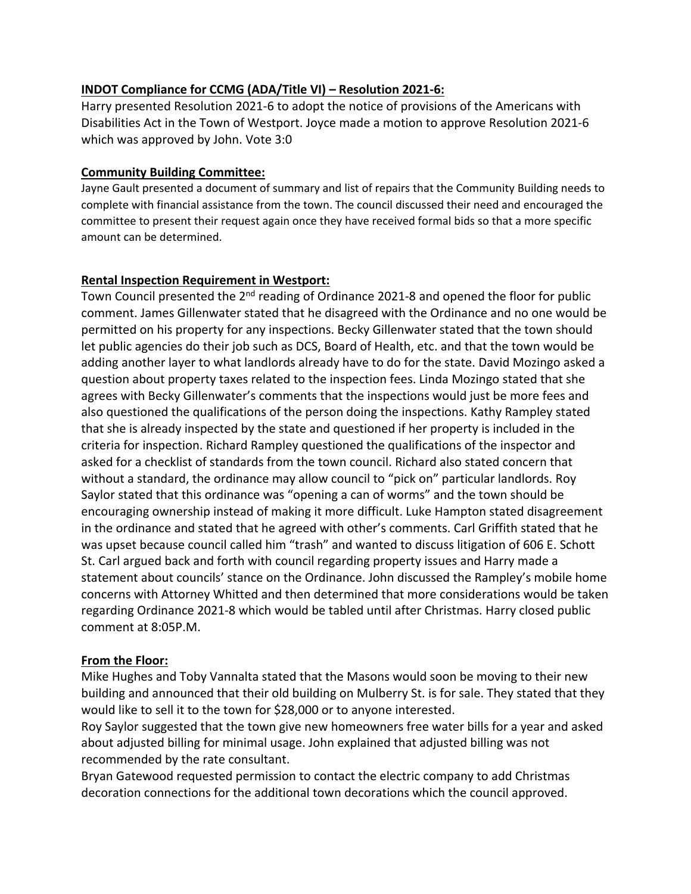# **INDOT Compliance for CCMG (ADA/Title VI) – Resolution 2021‐6:**

 Harry presented Resolution 2021‐6 to adopt the notice of provisions of the Americans with Disabilities Act in the Town of Westport. Joyce made a motion to approve Resolution 2021‐6 which was approved by John. Vote 3:0

## **Community Building Committee:**

 Jayne Gault presented a document of summary and list of repairs that the Community Building needs to complete with financial assistance from the town. The council discussed their need and encouraged the committee to present their request again once they have received formal bids so that a more specific amount can be determined.

## **Rental Inspection Requirement in Westport:**

Town Council presented the 2<sup>nd</sup> reading of Ordinance 2021-8 and opened the floor for public comment. James Gillenwater stated that he disagreed with the Ordinance and no one would be permitted on his property for any inspections. Becky Gillenwater stated that the town should let public agencies do their job such as DCS, Board of Health, etc. and that the town would be adding another layer to what landlords already have to do for the state. David Mozingo asked a question about property taxes related to the inspection fees. Linda Mozingo stated that she agrees with Becky Gillenwater's comments that the inspections would just be more fees and also questioned the qualifications of the person doing the inspections. Kathy Rampley stated that she is already inspected by the state and questioned if her property is included in the criteria for inspection. Richard Rampley questioned the qualifications of the inspector and asked for a checklist of standards from the town council. Richard also stated concern that without a standard, the ordinance may allow council to "pick on" particular landlords. Roy Saylor stated that this ordinance was "opening a can of worms" and the town should be encouraging ownership instead of making it more difficult. Luke Hampton stated disagreement in the ordinance and stated that he agreed with other's comments. Carl Griffith stated that he was upset because council called him "trash" and wanted to discuss litigation of 606 E. Schott St. Carl argued back and forth with council regarding property issues and Harry made a statement about councils' stance on the Ordinance. John discussed the Rampley's mobile home concerns with Attorney Whitted and then determined that more considerations would be taken regarding Ordinance 2021‐8 which would be tabled until after Christmas. Harry closed public comment at 8:05P.M.

# **From the Floor:**

 Mike Hughes and Toby Vannalta stated that the Masons would soon be moving to their new building and announced that their old building on Mulberry St. is for sale. They stated that they would like to sell it to the town for \$28,000 or to anyone interested.

 Roy Saylor suggested that the town give new homeowners free water bills for a year and asked about adjusted billing for minimal usage. John explained that adjusted billing was not recommended by the rate consultant.

 Bryan Gatewood requested permission to contact the electric company to add Christmas decoration connections for the additional town decorations which the council approved.